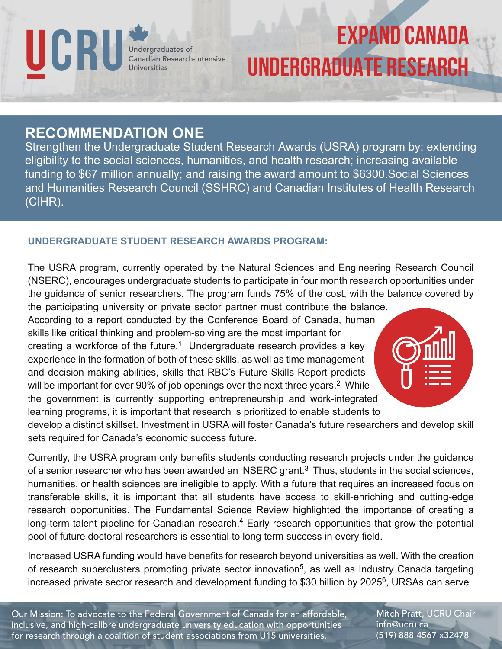UCRU Undergraduates of<br>Canadian Research-Intensive<br>Universities

# EXPAND CANADA UNDERGRADUATE RESEARCH

### **RECOMMENDATION ONE**

Strengthen the Undergraduate Student Research Awards (USRA) program by: extending eligibility to the social sciences, humanities, and health research; increasing available funding to \$67 million annually; and raising the award amount to \$6300.Social Sciences and Humanities Research Council (SSHRC) and Canadian Institutes of Health Research (CIHR).

#### **UNDERGRADUATE STUDENT RESEARCH AWARDS PROGRAM:**

The USRA program, currently operated by the Natural Sciences and Engineering Research Council (NSERC), encourages undergraduate students to participate in four month research opportunities under the guidance of senior researchers. The program funds 75% of the cost, with the balance covered by

the participating university or private sector partner must contribute the balance. According to a report conducted by the Conference Board of Canada, human skills like critical thinking and problem-solving are the most important for creating a workforce of the future.<sup>1</sup> Undergraduate research provides a key experience in the formation of both of these skills, as well as time management and decision making abilities, skills that RBC's Future Skills Report predicts will be important for over 90% of job openings over the next three years.<sup>2</sup> While the government is currently supporting entrepreneurship and work-integrated learning programs, it is important that research is prioritized to enable students to



develop a distinct skillset. Investment in USRA will foster Canada's future researchers and develop skill sets required for Canada's economic success future.

Currently, the USRA program only benefits students conducting research projects under the guidance of a senior researcher who has been awarded an  $NSERC$  grant.<sup>3</sup> Thus, students in the social sciences, humanities, or health sciences are ineligible to apply. With a future that requires an increased focus on transferable skills, it is important that all students have access to skill-enriching and cutting-edge research opportunities. The Fundamental Science Review highlighted the importance of creating a long-term talent pipeline for Canadian research.<sup>4</sup> Early research opportunities that grow the potential pool of future doctoral researchers is essential to long term success in every field.

Increased USRA funding would have benefits for research beyond universities as well. With the creation of research superclusters promoting private sector innovation<sup>5</sup>, as well as Industry Canada targeting increased private sector research and development funding to \$30 billion by 2025 $<sup>6</sup>$ , URSAs can serve</sup>

Our Mission: To advocate to the Federal Government of Canada for an affordable, inclusive, and high-calibre undergraduate university education with opportunities for research through a coalition of student associations from U15 universities.

Mitch Pratt, UCRU Chair info@ucru.ca (519) 888-4567 x32478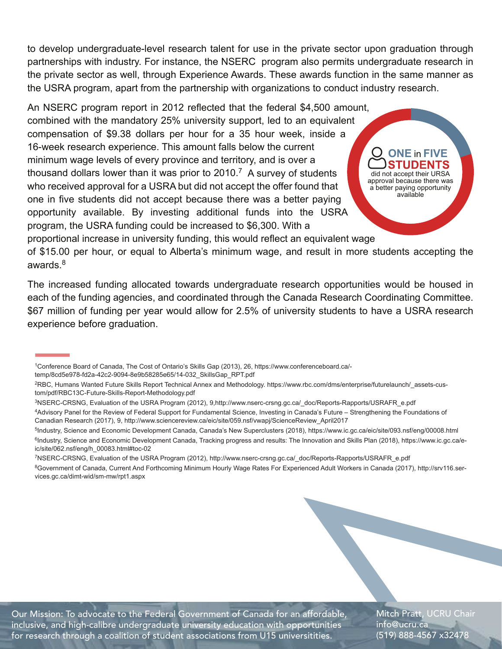to develop undergraduate-level research talent for use in the private sector upon graduation through partnerships with industry. For instance, the NSERC program also permits undergraduate research in the private sector as well, through Experience Awards. These awards function in the same manner as the USRA program, apart from the partnership with organizations to conduct industry research.

An NSERC program report in 2012 reflected that the federal \$4,500 amount, combined with the mandatory 25% university support, led to an equivalent compensation of \$9.38 dollars per hour for a 35 hour week, inside a 16-week research experience. This amount falls below the current minimum wage levels of every province and territory, and is over a thousand dollars lower than it was prior to  $2010$ .<sup>7</sup> A survey of students who received approval for a USRA but did not accept the offer found that one in five students did not accept because there was a better paying opportunity available. By investing additional funds into the USRA program, the USRA funding could be increased to \$6,300. With a

**ONE** in **FIVE** did not accept their URSA approval because there was a better paying opportunity available

proportional increase in university funding, this would reflect an equivalent wage

of \$15.00 per hour, or equal to Alberta's minimum wage, and result in more students accepting the awards.<sup>8</sup>

The increased funding allocated towards undergraduate research opportunities would be housed in each of the funding agencies, and coordinated through the Canada Research Coordinating Committee. \$67 million of funding per year would allow for 2.5% of university students to have a USRA research experience before graduation.

temp/8cd5e978-fd2a-42c2-9094-8e9b58285e65/14-032\_SkillsGap\_RPT.pdf

3NSERC-CRSNG, Evaluation of the USRA Program (2012), 9,http://www.nserc-crsng.gc.ca/\_doc/Reports-Rapports/USRAFR\_e.pdf 4Advisory Panel for the Review of Federal Support for Fundamental Science, Investing in Canada's Future – Strengthening the Foundations of

Canadian Research (2017), 9, http://www.sciencereview.ca/eic/site/059.nsf/vwapj/ScienceReview\_April2017

7NSERC-CRSNG, Evaluation of the USRA Program (2012), http://www.nserc-crsng.gc.ca/\_doc/Reports-Rapports/USRAFR\_e.pdf

8Government of Canada, Current And Forthcoming Minimum Hourly Wage Rates For Experienced Adult Workers in Canada (2017), http://srv116.services.gc.ca/dimt-wid/sm-mw/rpt1.aspx

Our Mission: To advocate to the Federal Government of Canada for an affordable, inclusive, and high-calibre undergraduate university education with opportunities for research through a coalition of student associations from U15 universitities.

Mitch Pratt, UCRU Chair info@ucru.ca (519) 888-4567 x32478

<sup>1</sup>Conference Board of Canada, The Cost of Ontario's Skills Gap (2013), 26, https://www.conferenceboard.ca/-

<sup>2</sup>RBC, Humans Wanted Future Skills Report Technical Annex and Methodology. https://www.rbc.com/dms/enterprise/futurelaunch/\_assets-custom/pdf/RBC13C-Future-Skills-Report-Methodology.pdf

<sup>5</sup>Industry, Science and Economic Development Canada, Canada's New Superclusters (2018), https://www.ic.gc.ca/eic/site/093.nsf/eng/00008.html <sup>6</sup>Industry, Science and Economic Development Canada, Tracking progress and results: The Innovation and Skills Plan (2018), https://www.ic.gc.ca/eic/site/062.nsf/eng/h\_00083.html#toc-02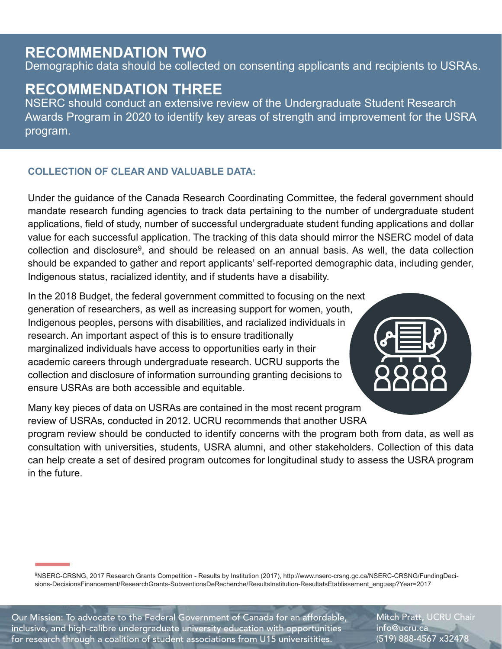## **RECOMMENDATION TWO**

Demographic data should be collected on consenting applicants and recipients to USRAs.

## **RECOMMENDATION THREE**

NSERC should conduct an extensive review of the Undergraduate Student Research Awards Program in 2020 to identify key areas of strength and improvement for the USRA program.

#### **COLLECTION OF CLEAR AND VALUABLE DATA:**

Under the guidance of the Canada Research Coordinating Committee, the federal government should mandate research funding agencies to track data pertaining to the number of undergraduate student applications, field of study, number of successful undergraduate student funding applications and dollar value for each successful application. The tracking of this data should mirror the NSERC model of data  $c$ ollection and disclosure<sup>9</sup>, and should be released on an annual basis. As well, the data collection should be expanded to gather and report applicants' self-reported demographic data, including gender, Indigenous status, racialized identity, and if students have a disability.

In the 2018 Budget, the federal government committed to focusing on the next generation of researchers, as well as increasing support for women, youth, Indigenous peoples, persons with disabilities, and racialized individuals in research. An important aspect of this is to ensure traditionally marginalized individuals have access to opportunities early in their academic careers through undergraduate research. UCRU supports the collection and disclosure of information surrounding granting decisions to ensure USRAs are both accessible and equitable.

Many key pieces of data on USRAs are contained in the most recent program review of USRAs, conducted in 2012. UCRU recommends that another USRA

program review should be conducted to identify concerns with the program both from data, as well as consultation with universities, students, USRA alumni, and other stakeholders. Collection of this data can help create a set of desired program outcomes for longitudinal study to assess the USRA program in the future.

9NSERC-CRSNG, 2017 Research Grants Competition - Results by Institution (2017), http://www.nserc-crsng.gc.ca/NSERC-CRSNG/FundingDecisions-DecisionsFinancement/ResearchGrants-SubventionsDeRecherche/ResultsInstitution-ResultatsEtablissement\_eng.asp?Year=2017

Our Mission: To advocate to the Federal Government of Canada for an affordable, inclusive, and high-calibre undergraduate university education with opportunities for research through a coalition of student associations from U15 universitities.

Mitch Pratt, UCRU Chair info@ucru.ca (519) 888-4567 x32478